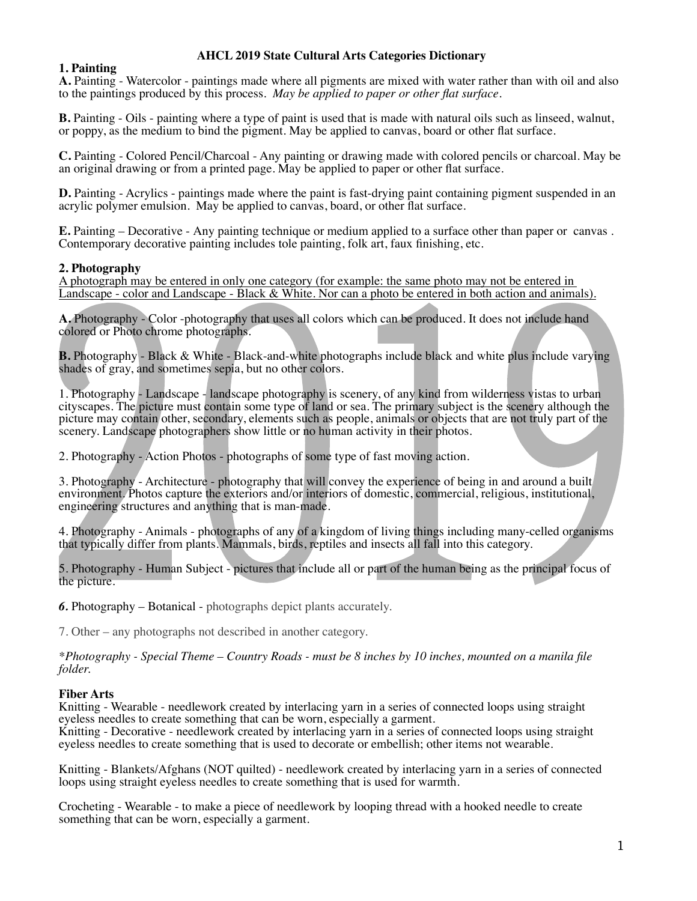# **AHCL 2019 State Cultural Arts Categories Dictionary**

# **1. Painting**

**A.** Painting - Watercolor - paintings made where all pigments are mixed with water rather than with oil and also to the paintings produced by this process. *May be applied to paper or other flat surface*.

**B.** Painting - Oils - painting where a type of paint is used that is made with natural oils such as linseed, walnut, or poppy, as the medium to bind the pigment. May be applied to canvas, board or other flat surface.

**C.** Painting - Colored Pencil/Charcoal - Any painting or drawing made with colored pencils or charcoal. May be an original drawing or from a printed page. May be applied to paper or other flat surface.

**D.** Painting - Acrylics - paintings made where the paint is fast-drying paint containing pigment suspended in an acrylic polymer emulsion. May be applied to canvas, board, or other flat surface.

**E.** Painting – Decorative - Any painting technique or medium applied to a surface other than paper or canvas . Contemporary decorative painting includes tole painting, folk art, faux finishing, etc.

## **2. Photography**

A photograph may be entered in only one category (for example: the same photo may not be entered in Landscape - color and Landscape - Black & White. Nor can a photo be entered in both action and animals).

**A.** Photography - Color -photography that uses all colors which can be produced. It does not include hand colored or Photo chrome photographs.

**B.** Photography - Black & White - Black-and-white photographs include black and white plus include varying shades of gray, and sometimes sepia, but no other colors.

1. Photography - Landscape - landscape photography is scenery, of any kind from wilderness vistas to urban cityscapes. The picture must contain some type of land or sea. The primary subject is the scenery although the picture may contain other, secondary, elements such as people, animals or objects that are not truly part of the scenery. Landscape photographers show little or no human activity in their photos.

2. Photography - Action Photos - photographs of some type of fast moving action.

3. Photography - Architecture - photography that will convey the experience of being in and around a built environment. Photos capture the exteriors and/or interiors of domestic, commercial, religious, institutional, engineering structures and anything that is man-made.

4. Photography - Animals - photographs of any of a kingdom of living things including many-celled organisms that typically differ from plants. Mammals, birds, reptiles and insects all fall into this category.

5. Photography - Human Subject - pictures that include all or part of the human being as the principal focus of the picture.

*6.* Photography – Botanical - photographs depict plants accurately.

7. Other – any photographs not described in another category.

*\*Photography - Special Theme – Country Roads - must be 8 inches by 10 inches, mounted on a manila file folder.*

## **Fiber Arts**

Knitting - Wearable - needlework created by interlacing yarn in a series of connected loops using straight eyeless needles to create something that can be worn, especially a garment.

Knitting - Decorative - needlework created by interlacing yarn in a series of connected loops using straight eyeless needles to create something that is used to decorate or embellish; other items not wearable.

Knitting - Blankets/Afghans (NOT quilted) - needlework created by interlacing yarn in a series of connected loops using straight eyeless needles to create something that is used for warmth.

Crocheting - Wearable - to make a piece of needlework by looping thread with a hooked needle to create something that can be worn, especially a garment.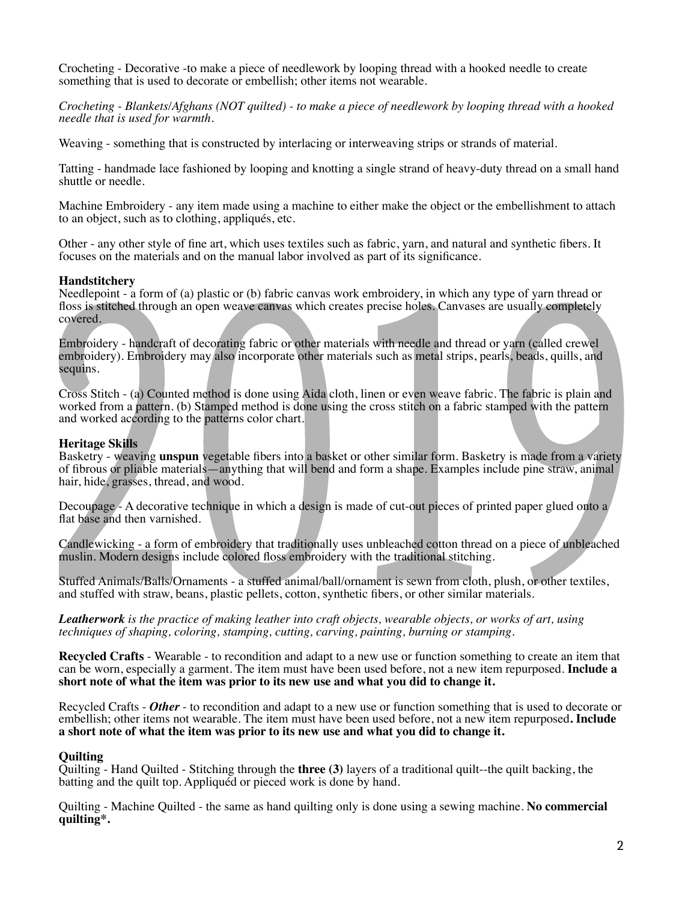Crocheting - Decorative -to make a piece of needlework by looping thread with a hooked needle to create something that is used to decorate or embellish; other items not wearable.

*Crocheting - Blankets/Afghans (NOT quilted) - to make a piece of needlework by looping thread with a hooked needle that is used for warmth.*

Weaving - something that is constructed by interlacing or interweaving strips or strands of material.

Tatting - handmade lace fashioned by looping and knotting a single strand of heavy-duty thread on a small hand shuttle or needle*.*

Machine Embroidery - any item made using a machine to either make the object or the embellishment to attach to an object, such as to clothing, appliqués, etc.

Other - any other style of fine art, which uses textiles such as fabric, yarn, and natural and synthetic fibers. It focuses on the materials and on the manual labor involved as part of its significance.

## **Handstitchery**

Needlepoint - a form of (a) plastic or (b) fabric canvas work embroidery, in which any type of yarn thread or floss is stitched through an open weave canvas which creates precise holes. Canvases are usually completely covered.

Embroidery - handcraft of decorating fabric or other materials with needle and thread or yarn (called crewel embroidery). Embroidery may also incorporate other materials such as metal strips, pearls, beads, quills, and sequins.

Cross Stitch - (a) Counted method is done using Aida cloth, linen or even weave fabric. The fabric is plain and worked from a pattern. (b) Stamped method is done using the cross stitch on a fabric stamped with the pattern and worked according to the patterns color chart.

# **Heritage Skills**

Basketry - weaving **unspun** vegetable fibers into a basket or other similar form. Basketry is made from a variety of fibrous or pliable materials—anything that will bend and form a shape. Examples include pine straw, animal hair, hide, grasses, thread, and wood.

Decoupage - A decorative technique in which a design is made of cut-out pieces of printed paper glued onto a flat base and then varnished.

Candlewicking - a form of embroidery that traditionally uses unbleached cotton thread on a piece of unbleached muslin. Modern designs include colored floss embroidery with the traditional stitching.

Stuffed Animals/Balls/Ornaments - a stuffed animal/ball/ornament is sewn from cloth, plush, or other textiles, and stuffed with straw, beans, plastic pellets, cotton, synthetic fibers, or other similar materials.

*Leatherwork is the practice of making leather into craft objects, wearable objects, or works of art, using techniques of shaping, coloring, stamping, cutting, carving, painting, burning or stamping.* 

**Recycled Crafts** - Wearable - to recondition and adapt to a new use or function something to create an item that can be worn, especially a garment. The item must have been used before, not a new item repurposed. **Include a short note of what the item was prior to its new use and what you did to change it.**

Recycled Crafts - *Other* - to recondition and adapt to a new use or function something that is used to decorate or embellish; other items not wearable. The item must have been used before, not a new item repurposed**. Include a short note of what the item was prior to its new use and what you did to change it.**

## **Quilting**

Quilting - Hand Quilted - Stitching through the **three (3)** layers of a traditional quilt--the quilt backing, the batting and the quilt top. Appliquéd or pieced work is done by hand*.*

Quilting - Machine Quilted - the same as hand quilting only is done using a sewing machine. **No commercial quilting\*.**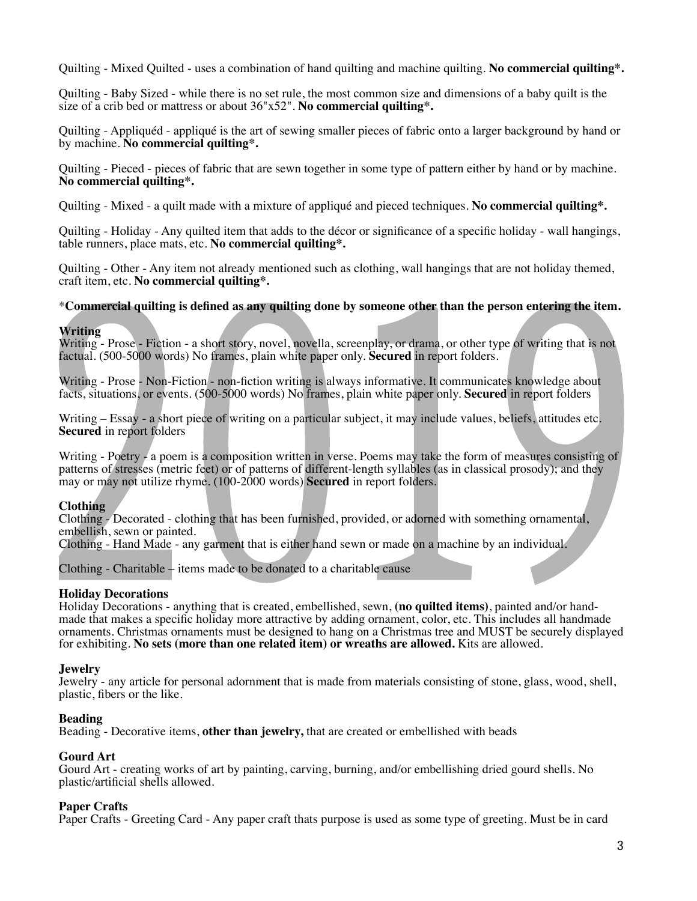Quilting - Mixed Quilted - uses a combination of hand quilting and machine quilting. **No commercial quilting\*.**

Quilting - Baby Sized - while there is no set rule, the most common size and dimensions of a baby quilt is the size of a crib bed or mattress or about 36"x52". **No commercial quilting\*.**

Quilting - Appliquéd - appliqué is the art of sewing smaller pieces of fabric onto a larger background by hand or by machine. **No commercial quilting\*.**

Quilting - Pieced - pieces of fabric that are sewn together in some type of pattern either by hand or by machine. **No commercial quilting\*.**

Quilting - Mixed - a quilt made with a mixture of appliqué and pieced techniques. **No commercial quilting\*.**

Quilting - Holiday - Any quilted item that adds to the décor or significance of a specific holiday - wall hangings, table runners, place mats, etc. **No commercial quilting\*.**

Quilting - Other - Any item not already mentioned such as clothing, wall hangings that are not holiday themed, craft item, etc. **No commercial quilting\*.**

#### \***Commercial quilting is defined as any quilting done by someone other than the person entering the item.**

#### **Writing**

Writing - Prose - Fiction - a short story, novel, novella, screenplay, or drama, or other type of writing that is not factual. (500-5000 words) No frames, plain white paper only. **Secured** in report folders.

Writing - Prose - Non-Fiction - non-fiction writing is always informative. It communicates knowledge about facts, situations, or events. (500-5000 words) No frames, plain white paper only. **Secured** in report folders

Writing – Essay - a short piece of writing on a particular subject, it may include values, beliefs, attitudes etc. **Secured** in report folders

Writing - Poetry - a poem is a composition written in verse. Poems may take the form of measures consisting of patterns of stresses (metric feet) or of patterns of different-length syllables (as in classical prosody); and they may or may not utilize rhyme. (100-2000 words) **Secured** in report folders.

## **Clothing**

Clothing - Decorated - clothing that has been furnished, provided, or adorned with something ornamental, embellish, sewn or painted.

Clothing - Hand Made - any garment that is either hand sewn or made on a machine by an individual.

Clothing - Charitable – items made to be donated to a charitable cause

## **Holiday Decorations**

Holiday Decorations - anything that is created, embellished, sewn, **(no quilted items)**, painted and/or handmade that makes a specific holiday more attractive by adding ornament, color, etc. This includes all handmade ornaments. Christmas ornaments must be designed to hang on a Christmas tree and MUST be securely displayed for exhibiting. **No sets (more than one related item) or wreaths are allowed.** Kits are allowed.

#### **Jewelry**

Jewelry - any article for personal adornment that is made from materials consisting of stone, glass, wood, shell, plastic, fibers or the like.

#### **Beading**

Beading - Decorative items, **other than jewelry,** that are created or embellished with beads

## **Gourd Art**

Gourd Art - creating works of art by painting, carving, burning, and/or embellishing dried gourd shells. No plastic/artificial shells allowed.

#### **Paper Crafts**

Paper Crafts - Greeting Card - Any paper craft thats purpose is used as some type of greeting. Must be in card